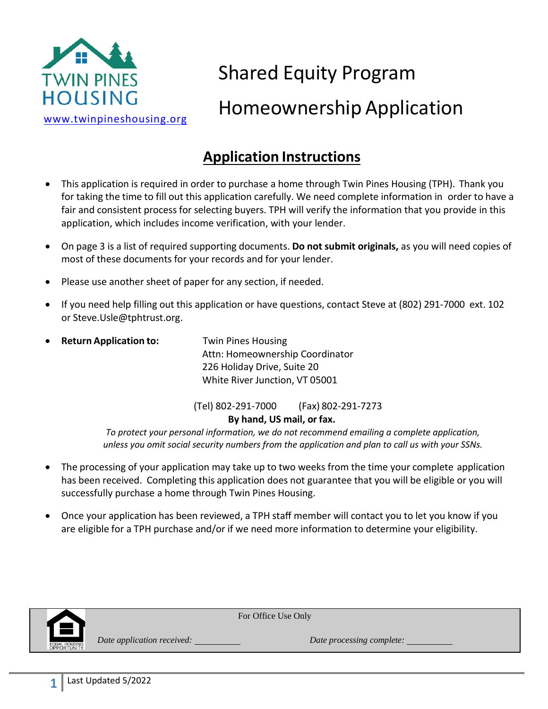

# Shared Equity Program Homeownership Application

# **Application Instructions**

- This application is required in order to purchase a home through Twin Pines Housing (TPH). Thank you for taking the time to fill out this application carefully. We need complete information in order to have a fair and consistent process for selecting buyers. TPH will verify the information that you provide in this application, which includes income verification, with your lender.
- On page 3 is a list of required supporting documents. **Do not submit originals,** as you will need copies of most of these documents for your records and for your lender.
- Please use another sheet of paper for any section, if needed.
- If you need help filling out this application or have questions, contact Steve at (802) 291‐7000 ext. 102 or Steve.Usle@tphtrust.org.
- **Return Application to:** Twin Pines Housing Attn: Homeownership Coordinator 226 Holiday Drive, Suite 20 White River Junction, VT 05001

(Tel) 802-291-7000 (Fax) 802‐291‐7273

**By hand, US mail, or fax.** 

*To protect your personal information, we do not recommend emailing a complete application, unless you omit social security numbers from the application and plan to call us with your SSNs.* 

- The processing of your application may take up to two weeks from the time your complete application has been received. Completing this application does not guarantee that you will be eligible or you will successfully purchase a home through Twin Pines Housing.
- Once your application has been reviewed, a TPH staff member will contact you to let you know if you are eligible for a TPH purchase and/or if we need more information to determine your eligibility.

For Office Use Only



**1**

*Date application received: Date processing complete:*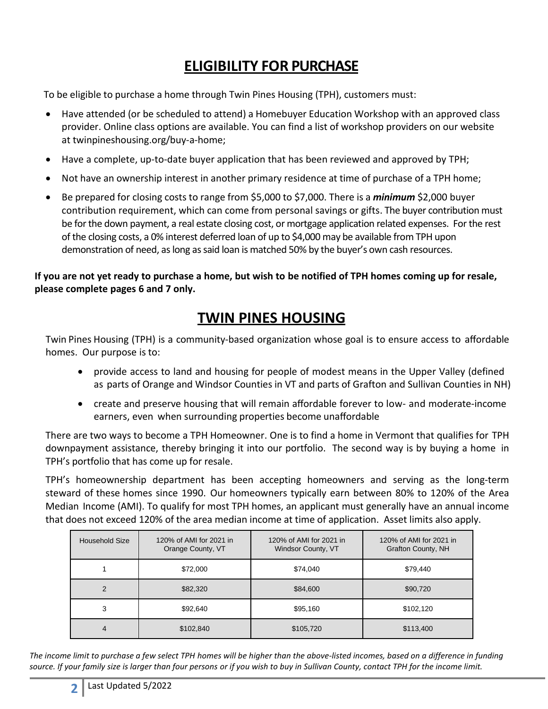# **ELIGIBILITY FOR PURCHASE**

To be eligible to purchase a home through Twin Pines Housing (TPH), customers must:

- Have attended (or be scheduled to attend) a Homebuyer Education Workshop with an approved class provider. Online class options are available. You can find a list of workshop providers on our website at twinpineshousing.org/buy-a-home;
- Have a complete, up-to-date buyer application that has been reviewed and approved by TPH;
- Not have an ownership interest in another primary residence at time of purchase of a TPH home;
- Be prepared for closing costs to range from \$5,000 to \$7,000. There is a *minimum* \$2,000 buyer contribution requirement, which can come from personal savings or gifts. The buyer contribution must be for the down payment, a real estate closing cost, or mortgage application related expenses. For the rest of the closing costs, a 0% interest deferred loan of up to \$4,000 may be available from TPH upon demonstration of need, as long as said loan is matched 50% by the buyer's own cash resources.

**If you are not yet ready to purchase a home, but wish to be notified of TPH homes coming up for resale, please complete pages 6 and 7 only.** 

## **TWIN PINES HOUSING**

Twin Pines Housing (TPH) is a community‐based organization whose goal is to ensure access to affordable homes. Our purpose is to:

- provide access to land and housing for people of modest means in the Upper Valley (defined as parts of Orange and Windsor Counties in VT and parts of Grafton and Sullivan Counties in NH)
- create and preserve housing that will remain affordable forever to low- and moderate‐income earners, even when surrounding properties become unaffordable

There are two ways to become a TPH Homeowner. One is to find a home in Vermont that qualifies for TPH downpayment assistance, thereby bringing it into our portfolio. The second way is by buying a home in TPH's portfolio that has come up for resale.

TPH's homeownership department has been accepting homeowners and serving as the long‐term steward of these homes since 1990. Our homeowners typically earn between 80% to 120% of the Area Median Income (AMI). To qualify for most TPH homes, an applicant must generally have an annual income that does not exceed 120% of the area median income at time of application. Asset limits also apply.

| Household Size | 120% of AMI for 2021 in<br>Orange County, VT | 120% of AMI for 2021 in<br>Windsor County, VT | 120% of AMI for 2021 in<br>Grafton County, NH |
|----------------|----------------------------------------------|-----------------------------------------------|-----------------------------------------------|
|                | \$72,000                                     | \$74,040                                      | \$79,440                                      |
| $\overline{2}$ | \$82,320                                     | \$84,600                                      | \$90,720                                      |
| 3              | \$92,640                                     | \$95,160                                      | \$102,120                                     |
| 4              | \$102,840                                    | \$105,720                                     | \$113,400                                     |

*The income limit to purchase a few select TPH homes will be higher than the above-listed incomes, based on a difference in funding source. If your family size is larger than four persons or if you wish to buy in Sullivan County, contact TPH for the income limit.*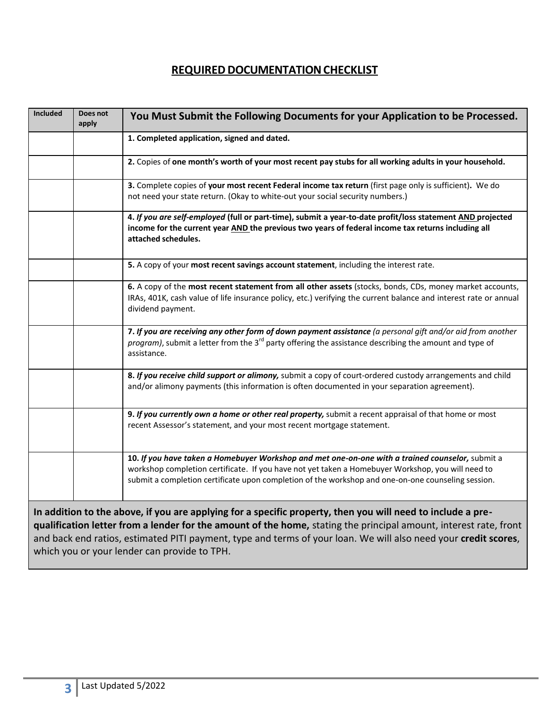## **REQUIRED DOCUMENTATION CHECKLIST**

| Included | Does not<br>apply | You Must Submit the Following Documents for your Application to be Processed.                                                                                                                                                                                                                                                                       |
|----------|-------------------|-----------------------------------------------------------------------------------------------------------------------------------------------------------------------------------------------------------------------------------------------------------------------------------------------------------------------------------------------------|
|          |                   | 1. Completed application, signed and dated.                                                                                                                                                                                                                                                                                                         |
|          |                   | 2. Copies of one month's worth of your most recent pay stubs for all working adults in your household.                                                                                                                                                                                                                                              |
|          |                   | 3. Complete copies of your most recent Federal income tax return (first page only is sufficient). We do<br>not need your state return. (Okay to white-out your social security numbers.)                                                                                                                                                            |
|          |                   | 4. If you are self-employed (full or part-time), submit a year-to-date profit/loss statement AND projected<br>income for the current year AND the previous two years of federal income tax returns including all<br>attached schedules.                                                                                                             |
|          |                   | 5. A copy of your most recent savings account statement, including the interest rate.                                                                                                                                                                                                                                                               |
|          |                   | 6. A copy of the most recent statement from all other assets (stocks, bonds, CDs, money market accounts,<br>IRAs, 401K, cash value of life insurance policy, etc.) verifying the current balance and interest rate or annual<br>dividend payment.                                                                                                   |
|          |                   | 7. If you are receiving any other form of down payment assistance (a personal gift and/or aid from another<br>program), submit a letter from the 3 <sup>rd</sup> party offering the assistance describing the amount and type of<br>assistance.                                                                                                     |
|          |                   | 8. If you receive child support or alimony, submit a copy of court-ordered custody arrangements and child<br>and/or alimony payments (this information is often documented in your separation agreement).                                                                                                                                           |
|          |                   | 9. If you currently own a home or other real property, submit a recent appraisal of that home or most<br>recent Assessor's statement, and your most recent mortgage statement.                                                                                                                                                                      |
|          |                   | 10. If you have taken a Homebuyer Workshop and met one-on-one with a trained counselor, submit a<br>workshop completion certificate. If you have not yet taken a Homebuyer Workshop, you will need to<br>submit a completion certificate upon completion of the workshop and one-on-one counseling session.                                         |
|          |                   | In addition to the above, if you are applying for a specific property, then you will need to include a pre-<br>qualification letter from a lender for the amount of the home, stating the principal amount, interest rate, front<br>and back end ratios, estimated PITI payment, type and terms of your loan. We will also need your credit scores, |

which you or your lender can provide to TPH.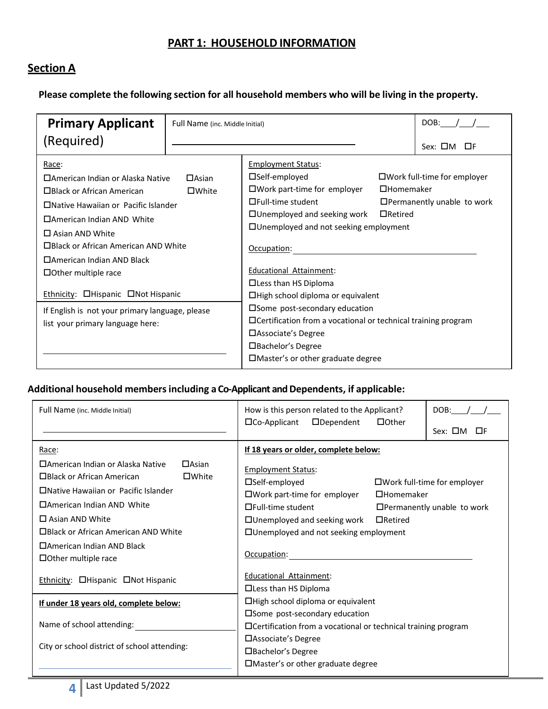#### **PART 1: HOUSEHOLD INFORMATION**

## **Section A**

**Please complete the following section for all household members who will be living in the property.**

| <b>Primary Applicant</b>                                                                                                                                                                                                                                                                                                                                                                                                 | Full Name (inc. Middle Initial) |                                                                                                                                                                                                                                                                                                                                                                                                                                                                         | DOB:                               |                                                                            |  |
|--------------------------------------------------------------------------------------------------------------------------------------------------------------------------------------------------------------------------------------------------------------------------------------------------------------------------------------------------------------------------------------------------------------------------|---------------------------------|-------------------------------------------------------------------------------------------------------------------------------------------------------------------------------------------------------------------------------------------------------------------------------------------------------------------------------------------------------------------------------------------------------------------------------------------------------------------------|------------------------------------|----------------------------------------------------------------------------|--|
| (Required)                                                                                                                                                                                                                                                                                                                                                                                                               |                                 |                                                                                                                                                                                                                                                                                                                                                                                                                                                                         |                                    | Sex: □M<br>⊡F                                                              |  |
| <u>Race</u> :<br>□American Indian or Alaska Native<br>□Black or African American<br>□Native Hawaiian or Pacific Islander<br>□American Indian AND White<br>$\Box$ Asian AND White<br>□Black or African American AND White<br>□American Indian AND Black<br>$\Box$ Other multiple race<br><b>Ethnicity: CHispanic</b> CNot Hispanic<br>If English is not your primary language, please<br>list your primary language here: | $\Box$ Asian<br>$\square$ White | <b>Employment Status:</b><br>$\square$ Self-employed<br>$\square$ Work part-time for employer<br>□Full-time student<br>$\Box$ Unemployed and seeking work<br>$\Box$ Unemployed and not seeking employment<br>Occupation:<br>Educational Attainment:<br>□ Less than HS Diploma<br>□High school diploma or equivalent<br>□ Some post-secondary education<br>□ Certification from a vocational or technical training program<br>□ Associate's Degree<br>□Bachelor's Degree | $\Box$ Homemaker<br>$\Box$ Retired | $\square$ Work full-time for employer<br>$\Box$ Permanently unable to work |  |
|                                                                                                                                                                                                                                                                                                                                                                                                                          |                                 | □Master's or other graduate degree                                                                                                                                                                                                                                                                                                                                                                                                                                      |                                    |                                                                            |  |

#### **Additional household membersincluding a Co-Applicant and Dependents, if applicable:**

| Full Name (inc. Middle Initial)                                                                                                                                                                                                                                                                                 | How is this person related to the Applicant?<br>DOB:<br>$\Box$ Dependent<br>$\Box$ Co-Applicant<br>$\Box$ Other                                                                                                                                                                                                                                                                     |  |  |
|-----------------------------------------------------------------------------------------------------------------------------------------------------------------------------------------------------------------------------------------------------------------------------------------------------------------|-------------------------------------------------------------------------------------------------------------------------------------------------------------------------------------------------------------------------------------------------------------------------------------------------------------------------------------------------------------------------------------|--|--|
|                                                                                                                                                                                                                                                                                                                 | Sex: □M<br>ПF                                                                                                                                                                                                                                                                                                                                                                       |  |  |
| Race:<br>□American Indian or Alaska Native<br>$\Box$ Asian<br>□Black or African American<br>$\square$ White<br>□Native Hawaiian or Pacific Islander<br>□American Indian AND White<br>$\Box$ Asian AND White<br>□Black or African American AND White<br>□American Indian AND Black<br>$\Box$ Other multiple race | If 18 years or older, complete below:<br><b>Employment Status:</b><br>$\square$ Self-employed<br>$\Box$ Work full-time for employer<br>$\square$ Work part-time for employer<br>$\Box$ Homemaker<br>$\Box$ Full-time student<br>$\Box$ Permanently unable to work<br>$\Box$ Unemployed and seeking work<br>$\Box$ Retired<br>□ Unemployed and not seeking employment<br>Occupation: |  |  |
| <b>Ethnicity: OHispanic ONot Hispanic</b>                                                                                                                                                                                                                                                                       | <b>Educational Attainment:</b><br>$\Box$ Less than HS Diploma                                                                                                                                                                                                                                                                                                                       |  |  |
| If under 18 years old, complete below:                                                                                                                                                                                                                                                                          | □High school diploma or equivalent                                                                                                                                                                                                                                                                                                                                                  |  |  |
| Name of school attending:<br>City or school district of school attending:                                                                                                                                                                                                                                       | □Some post-secondary education<br>$\Box$ Certification from a vocational or technical training program<br>□ Associate's Degree<br>□Bachelor's Degree                                                                                                                                                                                                                                |  |  |
|                                                                                                                                                                                                                                                                                                                 | $\Box$ Master's or other graduate degree                                                                                                                                                                                                                                                                                                                                            |  |  |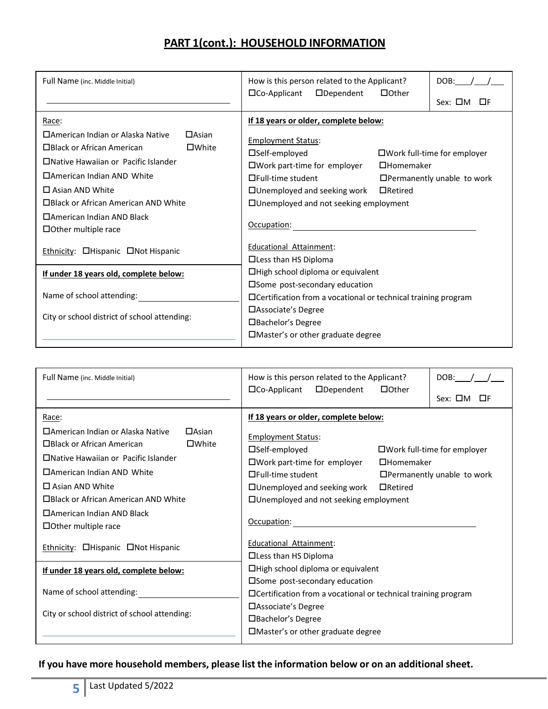## **PART 1(cont.): HOUSEHOLD INFORMATION**

| Full Name (inc. Middle Initial)                                                                                                                                                                                                                                                                                                                              | How is this person related to the Applicant?<br>DOB:<br>$\Box$ Dependent<br>$\Box$ Co-Applicant<br>$\Box$ Other<br>Sex: □M<br>ПF                                                                                                                                                                                                                                                                                                            |  |  |
|--------------------------------------------------------------------------------------------------------------------------------------------------------------------------------------------------------------------------------------------------------------------------------------------------------------------------------------------------------------|---------------------------------------------------------------------------------------------------------------------------------------------------------------------------------------------------------------------------------------------------------------------------------------------------------------------------------------------------------------------------------------------------------------------------------------------|--|--|
| Race:<br>□American Indian or Alaska Native<br>$\Box$ Asian<br>□Black or African American<br>$\square$ White<br>□Native Hawaiian or Pacific Islander<br>□American Indian AND White<br>$\Box$ Asian AND White<br>□Black or African American AND White<br>□American Indian AND Black<br>$\Box$ Other multiple race<br><b>Ethnicity: CHispanic</b> CNot Hispanic | If 18 years or older, complete below:<br><b>Employment Status:</b><br>$\square$ Self-employed<br>$\Box$ Work full-time for employer<br>□Work part-time for employer<br>$\Box$ Homemaker<br>$\Box$ Full-time student<br>$\Box$ Permanently unable to work<br>$\Box$ Unemployed and seeking work<br>$\Box$ Retired<br>□ Unemployed and not seeking employment<br>Occupation:<br><b>Educational Attainment:</b><br>$\Box$ Less than HS Diploma |  |  |
| If under 18 years old, complete below:<br>Name of school attending:                                                                                                                                                                                                                                                                                          | □High school diploma or equivalent<br>□Some post-secondary education                                                                                                                                                                                                                                                                                                                                                                        |  |  |
| City or school district of school attending:                                                                                                                                                                                                                                                                                                                 | $\Box$ Certification from a vocational or technical training program<br>□ Associate's Degree<br>□Bachelor's Degree<br>□Master's or other graduate degree                                                                                                                                                                                                                                                                                    |  |  |

| Full Name (inc. Middle Initial)                                                                                                                                                                                                                                                                                                                                 | How is this person related to the Applicant?<br>DOB:<br>$\Box$ Co-Applicant<br>$\Box$ Dependent<br>$\Box$ Other<br>$Sex: \Box M$<br><b>THE</b>                                                                                                                                                                                                                                                                                     |  |  |
|-----------------------------------------------------------------------------------------------------------------------------------------------------------------------------------------------------------------------------------------------------------------------------------------------------------------------------------------------------------------|------------------------------------------------------------------------------------------------------------------------------------------------------------------------------------------------------------------------------------------------------------------------------------------------------------------------------------------------------------------------------------------------------------------------------------|--|--|
| Race:<br>□ American Indian or Alaska Native<br>$\Box$ Asian<br>$\square$ White<br>□Black or African American<br>□ Native Hawaiian or Pacific Islander<br>□American Indian AND White<br>$\Box$ Asian AND White<br>□Black or African American AND White<br>□American Indian AND Black<br>$\Box$ Other multiple race<br>Ethnicity: <b>O</b> Hispanic ONot Hispanic | If 18 years or older, complete below:<br><b>Employment Status:</b><br>□Self-employed<br>$\square$ Work full-time for employer<br>$\square$ Work part-time for employer<br>$\Box$ Homemaker<br>$\Box$ Full-time student<br>$\Box$ Permanently unable to work<br>$\Box$ Unemployed and seeking work<br>$\Box$ Retired<br>□ Unemployed and not seeking employment<br>Occupation:<br>Educational Attainment:<br>□ Less than HS Diploma |  |  |
| If under 18 years old, complete below:                                                                                                                                                                                                                                                                                                                          | □High school diploma or equivalent<br>□ Some post-secondary education                                                                                                                                                                                                                                                                                                                                                              |  |  |
| Name of school attending:                                                                                                                                                                                                                                                                                                                                       | $\Box$ Certification from a vocational or technical training program                                                                                                                                                                                                                                                                                                                                                               |  |  |
| City or school district of school attending:                                                                                                                                                                                                                                                                                                                    | □ Associate's Degree<br>□Bachelor's Degree<br>$\Box$ Master's or other graduate degree                                                                                                                                                                                                                                                                                                                                             |  |  |

#### **If you have more household members, please list the information below or on an additional sheet.**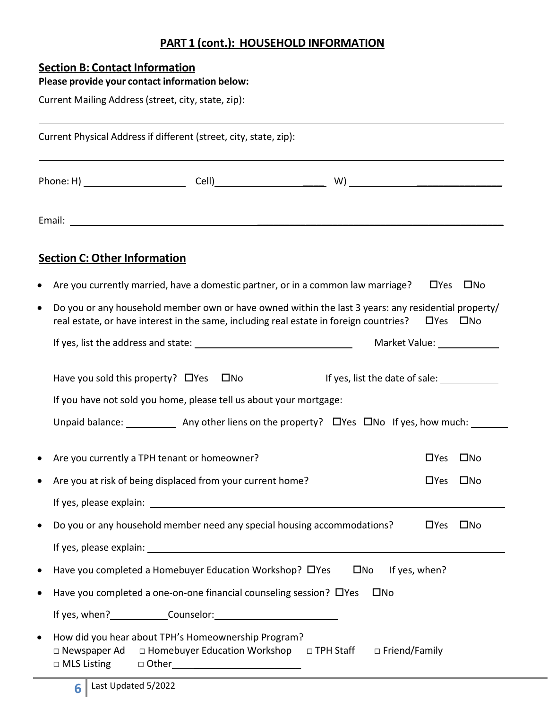## **PART 1 (cont.): HOUSEHOLD INFORMATION**

## **Section B: Contact Information**

|   | Please provide your contact information below:                                                                                                                                                                                                                                            |                      |                          |
|---|-------------------------------------------------------------------------------------------------------------------------------------------------------------------------------------------------------------------------------------------------------------------------------------------|----------------------|--------------------------|
|   | Current Mailing Address (street, city, state, zip):                                                                                                                                                                                                                                       |                      |                          |
|   | Current Physical Address if different (street, city, state, zip):<br>,我们也不会有什么。""我们的人,我们也不会有什么?""我们的人,我们也不会有什么?""我们的人,我们也不会有什么?""我们的人,我们也不会有什么?""我们的人                                                                                                                                     |                      |                          |
|   |                                                                                                                                                                                                                                                                                           |                      |                          |
|   |                                                                                                                                                                                                                                                                                           |                      |                          |
|   | <b>Section C: Other Information</b>                                                                                                                                                                                                                                                       |                      |                          |
|   | Are you currently married, have a domestic partner, or in a common law marriage?                                                                                                                                                                                                          | $\Box$ Yes           | □No                      |
| ٠ | Do you or any household member own or have owned within the last 3 years: any residential property/<br>real estate, or have interest in the same, including real estate in foreign countries?                                                                                             | $\Box$ Yes $\Box$ No |                          |
|   | Market Value: ______________                                                                                                                                                                                                                                                              |                      |                          |
|   | Have you sold this property? $\Box$ Yes $\Box$ No<br>If yes, list the date of sale: _______________<br>If you have not sold you home, please tell us about your mortgage:<br>Unpaid balance: ______________ Any other liens on the property? $\Box$ Yes $\Box$ No If yes, how much: _____ |                      |                          |
|   |                                                                                                                                                                                                                                                                                           |                      |                          |
|   | Are you currently a TPH tenant or homeowner?                                                                                                                                                                                                                                              | $\Box$ Yes           | $\square$ No             |
|   | Are you at risk of being displaced from your current home?                                                                                                                                                                                                                                | □Yes □No             |                          |
|   |                                                                                                                                                                                                                                                                                           |                      |                          |
|   | Do you or any household member need any special housing accommodations?                                                                                                                                                                                                                   | $\Box$ Yes           | $\square$ No             |
|   |                                                                                                                                                                                                                                                                                           |                      |                          |
|   | Have you completed a Homebuyer Education Workshop? □ Yes<br>$\square$ No                                                                                                                                                                                                                  |                      | If yes, when? $\sqrt{ }$ |
|   | Have you completed a one-on-one financial counseling session? OYes<br>$\square$ No                                                                                                                                                                                                        |                      |                          |
|   |                                                                                                                                                                                                                                                                                           |                      |                          |
|   | How did you hear about TPH's Homeownership Program?<br>□ Newspaper Ad □ Homebuyer Education Workshop □ TPH Staff<br>□ Friend/Family                                                                                                                                                       |                      |                          |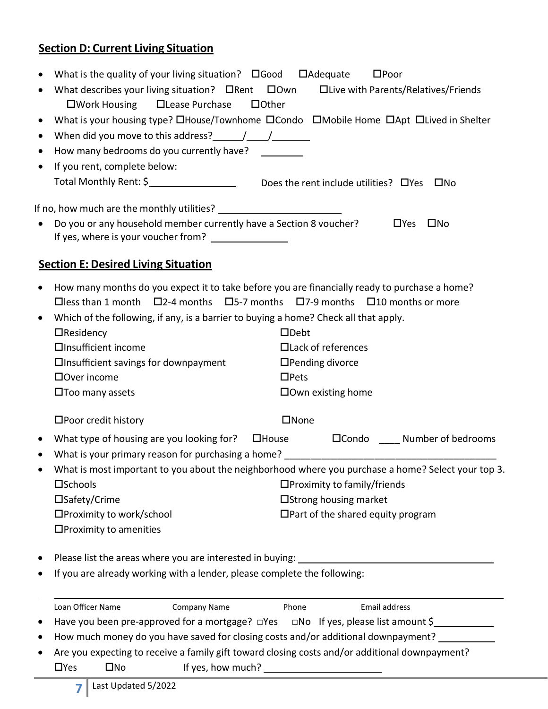## **Section D: Current Living Situation**

| ٠         | What is the quality of your living situation? $\square$ Good $\square$ Adequate                                                                                                                                                                                                                                                                                                                 |                     |                                                                                                                                                                                                                                                                                                                   |                                          | $\square$ Poor                                                                                     |
|-----------|-------------------------------------------------------------------------------------------------------------------------------------------------------------------------------------------------------------------------------------------------------------------------------------------------------------------------------------------------------------------------------------------------|---------------------|-------------------------------------------------------------------------------------------------------------------------------------------------------------------------------------------------------------------------------------------------------------------------------------------------------------------|------------------------------------------|----------------------------------------------------------------------------------------------------|
|           | What describes your living situation? $\Box$ Rent $\Box$ Own $\Box$ Live with Parents/Relatives/Friends                                                                                                                                                                                                                                                                                         |                     |                                                                                                                                                                                                                                                                                                                   |                                          |                                                                                                    |
|           | □Work Housing □ Lease Purchase                                                                                                                                                                                                                                                                                                                                                                  |                     | $\Box$ Other                                                                                                                                                                                                                                                                                                      |                                          |                                                                                                    |
| $\bullet$ |                                                                                                                                                                                                                                                                                                                                                                                                 |                     |                                                                                                                                                                                                                                                                                                                   |                                          | What is your housing type? OHouse/Townhome OCondo OMobile Home OApt OLived in Shelter              |
| $\bullet$ | When did you move to this address? $\frac{1}{\sqrt{1-\frac{1}{2}}}\frac{1}{\sqrt{1-\frac{1}{2}}}\frac{1}{\sqrt{1-\frac{1}{2}}}\frac{1}{\sqrt{1-\frac{1}{2}}}\frac{1}{\sqrt{1-\frac{1}{2}}}\frac{1}{\sqrt{1-\frac{1}{2}}}\frac{1}{\sqrt{1-\frac{1}{2}}}\frac{1}{\sqrt{1-\frac{1}{2}}}\frac{1}{\sqrt{1-\frac{1}{2}}}\frac{1}{\sqrt{1-\frac{1}{2}}}\frac{1}{\sqrt{1-\frac{1}{2}}}\frac{1}{\sqrt{1$ |                     |                                                                                                                                                                                                                                                                                                                   |                                          |                                                                                                    |
| $\bullet$ | How many bedrooms do you currently have?                                                                                                                                                                                                                                                                                                                                                        |                     |                                                                                                                                                                                                                                                                                                                   |                                          |                                                                                                    |
| $\bullet$ | If you rent, complete below:                                                                                                                                                                                                                                                                                                                                                                    |                     |                                                                                                                                                                                                                                                                                                                   |                                          |                                                                                                    |
|           | Total Monthly Rent: \$____________________________Does the rent include utilities? $\Box$ Yes $\Box$ No                                                                                                                                                                                                                                                                                         |                     |                                                                                                                                                                                                                                                                                                                   |                                          |                                                                                                    |
|           |                                                                                                                                                                                                                                                                                                                                                                                                 |                     |                                                                                                                                                                                                                                                                                                                   |                                          |                                                                                                    |
| $\bullet$ | Do you or any household member currently have a Section 8 voucher?<br>If yes, where is your voucher from? ________________                                                                                                                                                                                                                                                                      |                     |                                                                                                                                                                                                                                                                                                                   |                                          | $\Box$ Yes<br>$\square$ No                                                                         |
|           | <b>Section E: Desired Living Situation</b>                                                                                                                                                                                                                                                                                                                                                      |                     |                                                                                                                                                                                                                                                                                                                   |                                          |                                                                                                    |
| $\bullet$ | How many months do you expect it to take before you are financially ready to purchase a home?                                                                                                                                                                                                                                                                                                   |                     |                                                                                                                                                                                                                                                                                                                   |                                          |                                                                                                    |
|           | $\Box$ less than 1 month $\Box$ 2-4 months $\Box$ 5-7 months $\Box$ 7-9 months $\Box$ 10 months or more                                                                                                                                                                                                                                                                                         |                     |                                                                                                                                                                                                                                                                                                                   |                                          |                                                                                                    |
|           | Which of the following, if any, is a barrier to buying a home? Check all that apply.                                                                                                                                                                                                                                                                                                            |                     |                                                                                                                                                                                                                                                                                                                   |                                          |                                                                                                    |
|           | $\Box$ Residency                                                                                                                                                                                                                                                                                                                                                                                |                     | $\Box$ Debt                                                                                                                                                                                                                                                                                                       |                                          |                                                                                                    |
|           | □Insufficient income                                                                                                                                                                                                                                                                                                                                                                            |                     |                                                                                                                                                                                                                                                                                                                   | $\Box$ Lack of references                |                                                                                                    |
|           | $\Box$ Insufficient savings for downpayment                                                                                                                                                                                                                                                                                                                                                     |                     | $\Box$ Pending divorce                                                                                                                                                                                                                                                                                            |                                          |                                                                                                    |
|           | $\Box$ Over income                                                                                                                                                                                                                                                                                                                                                                              |                     | $\Box$ Pets                                                                                                                                                                                                                                                                                                       |                                          |                                                                                                    |
|           | $\square$ Too many assets                                                                                                                                                                                                                                                                                                                                                                       |                     |                                                                                                                                                                                                                                                                                                                   | $\Box$ Own existing home                 |                                                                                                    |
|           | $\square$ Poor credit history                                                                                                                                                                                                                                                                                                                                                                   |                     | $\square$ None                                                                                                                                                                                                                                                                                                    |                                          |                                                                                                    |
| $\bullet$ |                                                                                                                                                                                                                                                                                                                                                                                                 |                     |                                                                                                                                                                                                                                                                                                                   |                                          | What type of housing are you looking for? List up to use List and a Number of bedrooms             |
| $\bullet$ |                                                                                                                                                                                                                                                                                                                                                                                                 |                     |                                                                                                                                                                                                                                                                                                                   |                                          |                                                                                                    |
|           |                                                                                                                                                                                                                                                                                                                                                                                                 |                     |                                                                                                                                                                                                                                                                                                                   |                                          | What is most important to you about the neighborhood where you purchase a home? Select your top 3. |
|           | □Schools                                                                                                                                                                                                                                                                                                                                                                                        |                     |                                                                                                                                                                                                                                                                                                                   | $\Box$ Proximity to family/friends       |                                                                                                    |
|           | □Safety/Crime                                                                                                                                                                                                                                                                                                                                                                                   |                     |                                                                                                                                                                                                                                                                                                                   | □ Strong housing market                  |                                                                                                    |
|           | □Proximity to work/school                                                                                                                                                                                                                                                                                                                                                                       |                     |                                                                                                                                                                                                                                                                                                                   | $\Box$ Part of the shared equity program |                                                                                                    |
|           | □Proximity to amenities                                                                                                                                                                                                                                                                                                                                                                         |                     |                                                                                                                                                                                                                                                                                                                   |                                          |                                                                                                    |
|           | Please list the areas where you are interested in buying: ______________________                                                                                                                                                                                                                                                                                                                |                     |                                                                                                                                                                                                                                                                                                                   |                                          |                                                                                                    |
|           | If you are already working with a lender, please complete the following:                                                                                                                                                                                                                                                                                                                        |                     |                                                                                                                                                                                                                                                                                                                   |                                          |                                                                                                    |
|           | Loan Officer Name                                                                                                                                                                                                                                                                                                                                                                               | <b>Company Name</b> | Phone                                                                                                                                                                                                                                                                                                             |                                          | Email address                                                                                      |
| $\bullet$ |                                                                                                                                                                                                                                                                                                                                                                                                 |                     |                                                                                                                                                                                                                                                                                                                   |                                          | Have you been pre-approved for a mortgage? □Yes □No If yes, please list amount \$                  |
| ٠         | How much money do you have saved for closing costs and/or additional downpayment? _________                                                                                                                                                                                                                                                                                                     |                     |                                                                                                                                                                                                                                                                                                                   |                                          |                                                                                                    |
|           | Are you expecting to receive a family gift toward closing costs and/or additional downpayment?                                                                                                                                                                                                                                                                                                  |                     |                                                                                                                                                                                                                                                                                                                   |                                          |                                                                                                    |
|           | $\Box$ Yes<br>$\square$ No                                                                                                                                                                                                                                                                                                                                                                      |                     | If yes, how much? $\frac{1}{2}$ $\frac{1}{2}$ $\frac{1}{2}$ $\frac{1}{2}$ $\frac{1}{2}$ $\frac{1}{2}$ $\frac{1}{2}$ $\frac{1}{2}$ $\frac{1}{2}$ $\frac{1}{2}$ $\frac{1}{2}$ $\frac{1}{2}$ $\frac{1}{2}$ $\frac{1}{2}$ $\frac{1}{2}$ $\frac{1}{2}$ $\frac{1}{2}$ $\frac{1}{2}$ $\frac{1}{2}$ $\frac{1}{2}$ $\frac$ |                                          |                                                                                                    |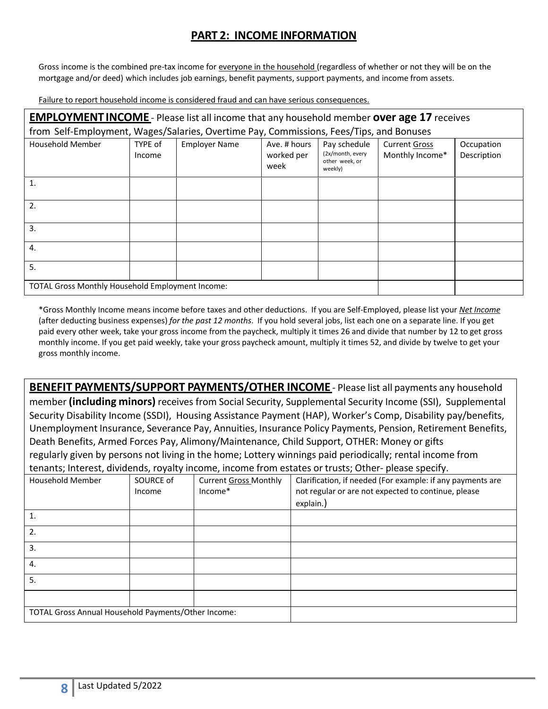## **PART 2: INCOME INFORMATION**

Gross income is the combined pre-tax income for everyone in the household (regardless of whether or not they will be on the mortgage and/or deed) which includes job earnings, benefit payments, support payments, and income from assets.

Failure to report household income is considered fraud and can have serious consequences.

| <b>EMPLOYMENT INCOME</b> - Please list all income that any household member over age 17 receives |                                                  |                      |                                    |                                                               |                                         |                           |  |  |  |
|--------------------------------------------------------------------------------------------------|--------------------------------------------------|----------------------|------------------------------------|---------------------------------------------------------------|-----------------------------------------|---------------------------|--|--|--|
| from Self-Employment, Wages/Salaries, Overtime Pay, Commissions, Fees/Tips, and Bonuses          |                                                  |                      |                                    |                                                               |                                         |                           |  |  |  |
| <b>Household Member</b>                                                                          | TYPE of<br>Income                                | <b>Employer Name</b> | Ave. # hours<br>worked per<br>week | Pay schedule<br>(2x/month, every<br>other week, or<br>weekly) | <b>Current Gross</b><br>Monthly Income* | Occupation<br>Description |  |  |  |
| $\mathbf{1}$                                                                                     |                                                  |                      |                                    |                                                               |                                         |                           |  |  |  |
| 2.                                                                                               |                                                  |                      |                                    |                                                               |                                         |                           |  |  |  |
| 3.                                                                                               |                                                  |                      |                                    |                                                               |                                         |                           |  |  |  |
| 4.                                                                                               |                                                  |                      |                                    |                                                               |                                         |                           |  |  |  |
| 5.                                                                                               |                                                  |                      |                                    |                                                               |                                         |                           |  |  |  |
|                                                                                                  | TOTAL Gross Monthly Household Employment Income: |                      |                                    |                                                               |                                         |                           |  |  |  |

\*Gross Monthly Income means income before taxes and other deductions. If you are Self‐Employed, please list your *Net Income* (after deducting business expenses) *for the past 12 months*. If you hold several jobs, list each one on a separate line. If you get paid every other week, take your gross income from the paycheck, multiply it times 26 and divide that number by 12 to get gross monthly income. If you get paid weekly, take your gross paycheck amount, multiply it times 52, and divide by twelve to get your gross monthly income.

**BENEFIT PAYMENTS/SUPPORT PAYMENTS/OTHER INCOME** ‐ Please list all payments any household member **(including minors)** receives from Social Security, Supplemental Security Income (SSI), Supplemental Security Disability Income (SSDI), Housing Assistance Payment (HAP), Worker's Comp, Disability pay/benefits, Unemployment Insurance, Severance Pay, Annuities, Insurance Policy Payments, Pension, Retirement Benefits, Death Benefits, Armed Forces Pay, Alimony/Maintenance, Child Support, OTHER: Money or gifts regularly given by persons not living in the home; Lottery winnings paid periodically; rental income from tenants; Interest, dividends, royalty income, income from estates or trusts; Other‐ please specify.

| Household Member                                    | SOURCE of | <b>Current Gross Monthly</b> | Clarification, if needed (For example: if any payments are |
|-----------------------------------------------------|-----------|------------------------------|------------------------------------------------------------|
|                                                     | Income    | Income*                      | not regular or are not expected to continue, please        |
|                                                     |           |                              | explain.)                                                  |
| 1.                                                  |           |                              |                                                            |
| 2.                                                  |           |                              |                                                            |
| 3.                                                  |           |                              |                                                            |
| 4.                                                  |           |                              |                                                            |
| 5.                                                  |           |                              |                                                            |
|                                                     |           |                              |                                                            |
| TOTAL Gross Annual Household Payments/Other Income: |           |                              |                                                            |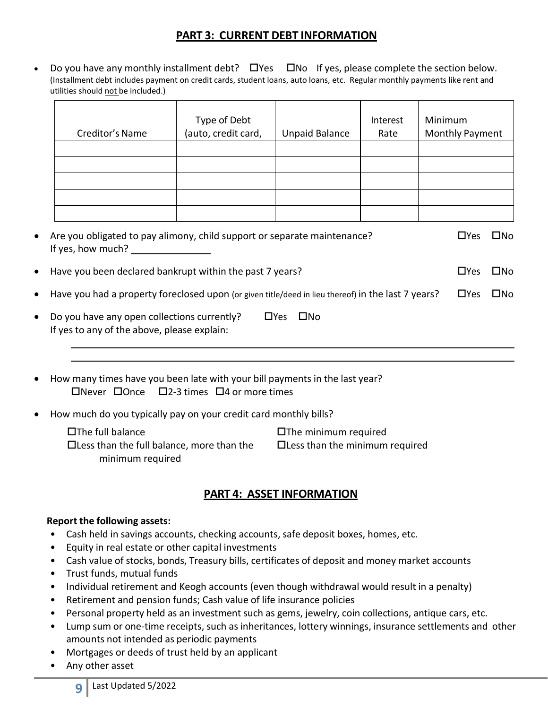### **PART 3: CURRENT DEBT INFORMATION**

• Do you have any monthly installment debt?  $\Box$  Yes  $\Box$  No If yes, please complete the section below. (Installment debt includes payment on credit cards, student loans, auto loans, etc. Regular monthly payments like rent and utilities should not be included.)

| Creditor's Name | Type of Debt<br>(auto, credit card, | <b>Unpaid Balance</b> | Interest<br>Rate | Minimum<br><b>Monthly Payment</b> |
|-----------------|-------------------------------------|-----------------------|------------------|-----------------------------------|
|                 |                                     |                       |                  |                                   |
|                 |                                     |                       |                  |                                   |
|                 |                                     |                       |                  |                                   |
|                 |                                     |                       |                  |                                   |
|                 |                                     |                       |                  |                                   |

| $\bullet$ - Are you obligated to pay alimony, child support or separate maintenance?<br>If yes, how much?       | LIYes.     | ⊔No ⊟        |
|-----------------------------------------------------------------------------------------------------------------|------------|--------------|
| • Have you been declared bankrupt within the past 7 years?                                                      | $\Box$ Yes | $\square$ No |
| • Have you had a property foreclosed upon (or given title/deed in lieu thereof) in the last 7 years?            | □Yes □No   |              |
| the contract of the contract of the contract of the contract of the contract of the contract of the contract of |            |              |

- Do you have any open collections currently?  $\Box$  Yes  $\Box$  No If yes to any of the above, please explain:
- How many times have you been late with your bill payments in the last year?  $\Box$ Never  $\Box$ Once  $\Box$ 2-3 times  $\Box$ 4 or more times
- How much do you typically pay on your credit card monthly bills?

| □The full balance                                | $\square$ The minimum required        |
|--------------------------------------------------|---------------------------------------|
| $\Box$ Less than the full balance, more than the | $\Box$ Less than the minimum required |
| minimum required                                 |                                       |

## **PART 4: ASSET INFORMATION**

#### **Report the following assets:**

- Cash held in savings accounts, checking accounts, safe deposit boxes, homes, etc.
- Equity in real estate or other capital investments
- Cash value of stocks, bonds, Treasury bills, certificates of deposit and money market accounts
- Trust funds, mutual funds
- Individual retirement and Keogh accounts (even though withdrawal would result in a penalty)
- Retirement and pension funds; Cash value of life insurance policies
- Personal property held as an investment such as gems, jewelry, coin collections, antique cars, etc.
- Lump sum or one‐time receipts, such as inheritances, lottery winnings, insurance settlements and other amounts not intended as periodic payments
- Mortgages or deeds of trust held by an applicant
- Any other asset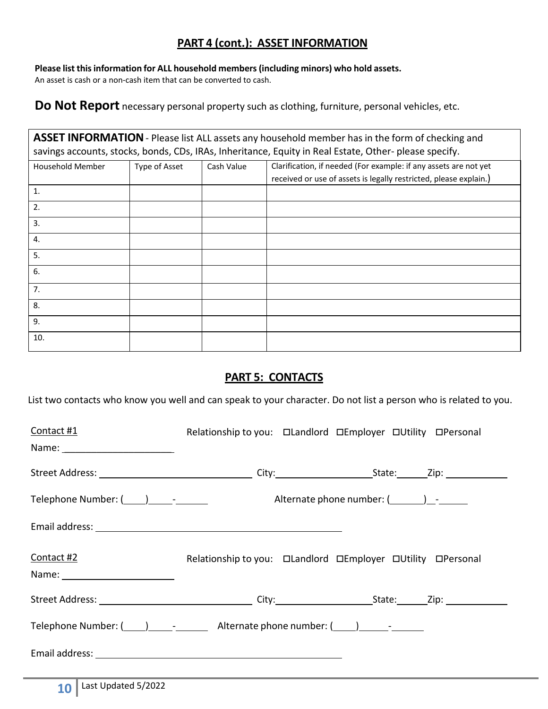## **PART 4 (cont.): ASSET INFORMATION**

**Please list thisinformation for ALL household members(including minors) who hold assets.** An asset is cash or a non-cash item that can be converted to cash.

**Do Not Report** necessary personal property such as clothing, furniture, personal vehicles, etc.

**ASSET INFORMATION**‐ Please list ALL assets any household member has in the form of checking and savings accounts, stocks, bonds, CDs, IRAs, Inheritance, Equity in Real Estate, Other- please specify.

| Household Member | Type of Asset | Cash Value | Clarification, if needed (For example: if any assets are not yet  |
|------------------|---------------|------------|-------------------------------------------------------------------|
|                  |               |            | received or use of assets is legally restricted, please explain.) |
| $\mathbf{1}$ .   |               |            |                                                                   |
| 2.               |               |            |                                                                   |
| 3.               |               |            |                                                                   |
| 4.               |               |            |                                                                   |
| 5.               |               |            |                                                                   |
| 6.               |               |            |                                                                   |
| 7.               |               |            |                                                                   |
| 8.               |               |            |                                                                   |
| 9.               |               |            |                                                                   |
| 10.              |               |            |                                                                   |

## **PART 5: CONTACTS**

List two contacts who know you well and can speak to your character. Do not list a person who is related to you.

| Contact #1                                                                                  |  |  |
|---------------------------------------------------------------------------------------------|--|--|
|                                                                                             |  |  |
|                                                                                             |  |  |
| Telephone Number: (1, 2014) [1, 2015] [1, 2016] Alternate phone number: (2, 2016) [1, 2016] |  |  |
|                                                                                             |  |  |
| Contact #2<br>Name: __________________________                                              |  |  |
|                                                                                             |  |  |
|                                                                                             |  |  |
|                                                                                             |  |  |